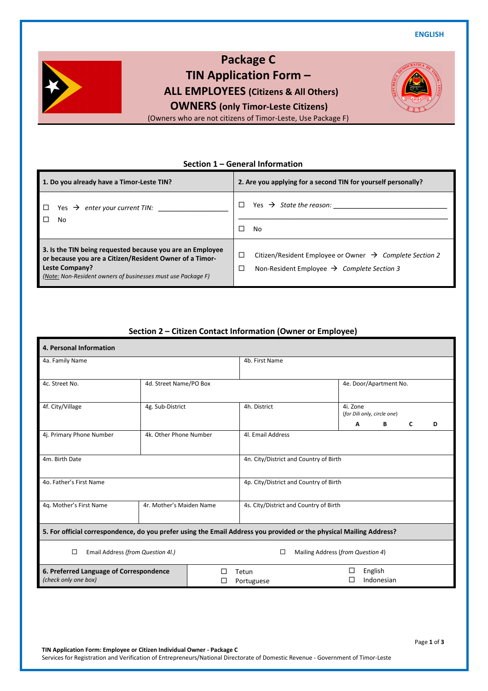**ENGLISH** 



**Package C TIN Application Form – ALL EMPLOYEES (Citizens & All Others) OWNERS (only Timor-Leste Citizens)**

(Owners who are not citizens of Timor-Leste, Use Package F)

#### **Section 1 – General Information**

| 1. Do you already have a Timor-Leste TIN?                    | 2. Are you applying for a second TIN for yourself personally?       |  |  |  |  |
|--------------------------------------------------------------|---------------------------------------------------------------------|--|--|--|--|
| Yes $\rightarrow$ enter your current TIN:                    | Yes $\rightarrow$ State the reason:<br>п                            |  |  |  |  |
| No                                                           | П                                                                   |  |  |  |  |
| П                                                            | No                                                                  |  |  |  |  |
| 3. Is the TIN being requested because you are an Employee    | □                                                                   |  |  |  |  |
| or because you are a Citizen/Resident Owner of a Timor-      | Citizen/Resident Employee or Owner $\rightarrow$ Complete Section 2 |  |  |  |  |
| Leste Company?                                               | □                                                                   |  |  |  |  |
| (Note: Non-Resident owners of businesses must use Package F) | Non-Resident Employee $\rightarrow$ Complete Section 3              |  |  |  |  |

#### **Section 2 – Citizen Contact Information (Owner or Employee)**

| 4. Personal Information                                                                                             |                        |  |                                        |                                         |   |                        |   |   |
|---------------------------------------------------------------------------------------------------------------------|------------------------|--|----------------------------------------|-----------------------------------------|---|------------------------|---|---|
| 4a. Family Name                                                                                                     |                        |  | 4b. First Name                         |                                         |   |                        |   |   |
| 4c. Street No.                                                                                                      | 4d. Street Name/PO Box |  |                                        |                                         |   | 4e. Door/Apartment No. |   |   |
| 4f. City/Village<br>4g. Sub-District                                                                                |                        |  | 4h. District                           | 4i. Zone<br>(for Dili only, circle one) |   |                        |   |   |
|                                                                                                                     |                        |  |                                        |                                         | Α | В                      | C | D |
| 4j. Primary Phone Number<br>4k. Other Phone Number                                                                  |                        |  |                                        | 4l. Email Address                       |   |                        |   |   |
| 4m. Birth Date                                                                                                      |                        |  | 4n. City/District and Country of Birth |                                         |   |                        |   |   |
| 4o. Father's First Name                                                                                             |                        |  |                                        | 4p. City/District and Country of Birth  |   |                        |   |   |
| 4r. Mother's Maiden Name<br>4q. Mother's First Name                                                                 |                        |  | 4s. City/District and Country of Birth |                                         |   |                        |   |   |
| 5. For official correspondence, do you prefer using the Email Address you provided or the physical Mailing Address? |                        |  |                                        |                                         |   |                        |   |   |
| $\Box$<br>Email Address (from Question 4l.)                                                                         |                        |  | $\Box$                                 | Mailing Address (from Question 4)       |   |                        |   |   |
| 6. Preferred Language of Correspondence<br>(check only one box)                                                     | Tetun<br>Portuguese    |  | □                                      | English<br>Indonesian                   |   |                        |   |   |

**TIN Application Form: Employee or Citizen Individual Owner - Package C**  Services for Registration and Verification of Entrepreneurs/National Directorate of Domestic Revenue - Government of Timor-Leste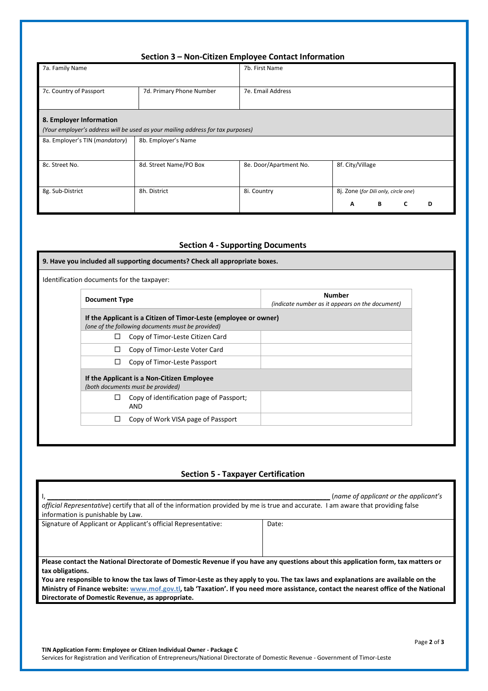## **Section 3 – Non-Citizen Employee Contact Information**

| 7a. Family Name                |                                                                                 | 7b. First Name         |                                      |
|--------------------------------|---------------------------------------------------------------------------------|------------------------|--------------------------------------|
|                                |                                                                                 |                        |                                      |
| 7c. Country of Passport        | 7d. Primary Phone Number                                                        | 7e. Email Address      |                                      |
|                                |                                                                                 |                        |                                      |
| 8. Employer Information        |                                                                                 |                        |                                      |
|                                | (Your employer's address will be used as your mailing address for tax purposes) |                        |                                      |
| 8a. Employer's TIN (mandatory) | 8b. Employer's Name                                                             |                        |                                      |
|                                |                                                                                 |                        |                                      |
| 8c. Street No.                 | 8d. Street Name/PO Box                                                          | 8e. Door/Apartment No. | 8f. City/Village                     |
|                                |                                                                                 |                        |                                      |
| 8g. Sub-District               | 8h. District                                                                    | 8i. Country            | 8j. Zone (for Dili only, circle one) |
|                                |                                                                                 |                        | в<br>C<br>A<br>D                     |

## **Section 4 - Supporting Documents**

| 9. Have you included all supporting documents? Check all appropriate boxes.     |                                                                                                                       |                                                                  |  |  |  |  |  |
|---------------------------------------------------------------------------------|-----------------------------------------------------------------------------------------------------------------------|------------------------------------------------------------------|--|--|--|--|--|
|                                                                                 | Identification documents for the taxpayer:                                                                            |                                                                  |  |  |  |  |  |
| <b>Document Type</b>                                                            |                                                                                                                       | <b>Number</b><br>(indicate number as it appears on the document) |  |  |  |  |  |
|                                                                                 | If the Applicant is a Citizen of Timor-Leste (employee or owner)<br>(one of the following documents must be provided) |                                                                  |  |  |  |  |  |
| $\Box$                                                                          | Copy of Timor-Leste Citizen Card                                                                                      |                                                                  |  |  |  |  |  |
| ⊔                                                                               | Copy of Timor-Leste Voter Card                                                                                        |                                                                  |  |  |  |  |  |
| □                                                                               | Copy of Timor-Leste Passport                                                                                          |                                                                  |  |  |  |  |  |
| If the Applicant is a Non-Citizen Employee<br>(both documents must be provided) |                                                                                                                       |                                                                  |  |  |  |  |  |
| ⊔                                                                               | Copy of identification page of Passport;<br><b>AND</b>                                                                |                                                                  |  |  |  |  |  |
| $\Box$                                                                          | Copy of Work VISA page of Passport                                                                                    |                                                                  |  |  |  |  |  |
|                                                                                 |                                                                                                                       |                                                                  |  |  |  |  |  |

# **Section 5 - Taxpayer Certification**

| official Representative) certify that all of the information provided by me is true and accurate. I am aware that providing false<br>information is punishable by Law. | (name of applicant or the applicant's |  |  |  |  |  |
|------------------------------------------------------------------------------------------------------------------------------------------------------------------------|---------------------------------------|--|--|--|--|--|
| Signature of Applicant or Applicant's official Representative:                                                                                                         | Date:                                 |  |  |  |  |  |
|                                                                                                                                                                        |                                       |  |  |  |  |  |
|                                                                                                                                                                        |                                       |  |  |  |  |  |
| Please contact the National Directorate of Domestic Revenue if you have any questions about this application form, tax matters or                                      |                                       |  |  |  |  |  |
| tax obligations.                                                                                                                                                       |                                       |  |  |  |  |  |
| You are responsible to know the tax laws of Timor-Leste as they apply to you. The tax laws and explanations are available on the                                       |                                       |  |  |  |  |  |
| Ministry of Finance website: www.mof.gov.tl, tab 'Taxation'. If you need more assistance, contact the nearest office of the National                                   |                                       |  |  |  |  |  |
| Directorate of Domestic Revenue, as appropriate.                                                                                                                       |                                       |  |  |  |  |  |